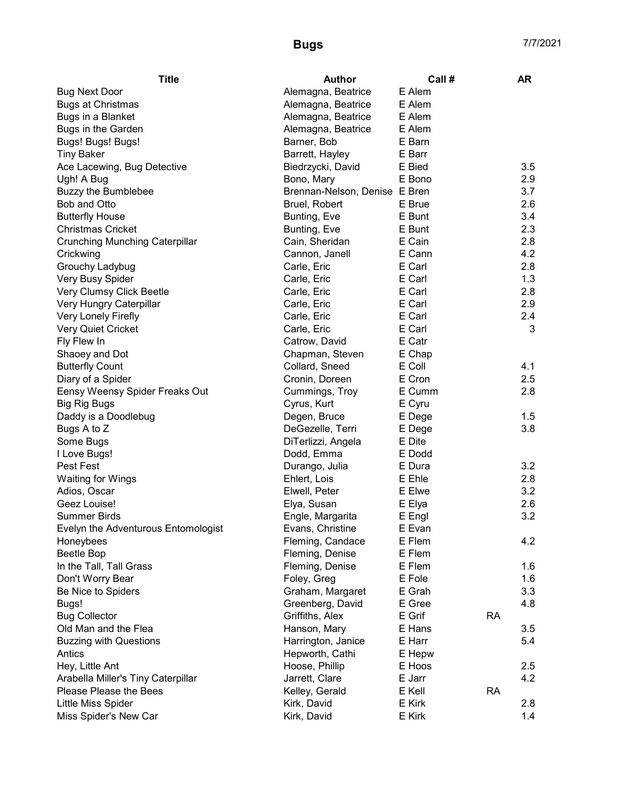| <b>Title</b>                          | <b>Author</b>                 | Call #           |           | AR  |
|---------------------------------------|-------------------------------|------------------|-----------|-----|
| <b>Bug Next Door</b>                  | Alemagna, Beatrice            | E Alem           |           |     |
| <b>Bugs at Christmas</b>              | Alemagna, Beatrice            | E Alem           |           |     |
| Bugs in a Blanket                     | Alemagna, Beatrice            | E Alem           |           |     |
| Bugs in the Garden                    | Alemagna, Beatrice            | E Alem           |           |     |
| Bugs! Bugs! Bugs!                     | Barner, Bob                   | E Barn           |           |     |
| <b>Tiny Baker</b>                     | Barrett, Hayley               | E Barr           |           |     |
| Ace Lacewing, Bug Detective           | Biedrzycki, David             | E Bied           |           | 3.5 |
| Ugh! A Bug                            | Bono, Mary                    | E Bono           |           | 2.9 |
| <b>Buzzy the Bumblebee</b>            | Brennan-Nelson, Denise E Bren |                  |           | 3.7 |
| Bob and Otto                          | Bruel, Robert                 | E Brue           |           | 2.6 |
| <b>Butterfly House</b>                | Bunting, Eve                  | E Bunt           |           | 3.4 |
| <b>Christmas Cricket</b>              | Bunting, Eve                  | E Bunt           |           | 2.3 |
| <b>Crunching Munching Caterpillar</b> | Cain, Sheridan                | E Cain           |           | 2.8 |
| Crickwing                             | Cannon, Janell                | E Cann           |           | 4.2 |
| Grouchy Ladybug                       | Carle, Eric                   | E Carl           |           | 2.8 |
| Very Busy Spider                      | Carle, Eric                   | E Carl           |           | 1.3 |
| Very Clumsy Click Beetle              | Carle, Eric                   | E Carl           |           | 2.8 |
| Very Hungry Caterpillar               | Carle, Eric                   | E Carl           |           | 2.9 |
| Very Lonely Firefly                   | Carle, Eric                   | E Carl           |           | 2.4 |
| <b>Very Quiet Cricket</b>             | Carle, Eric                   | E Carl           |           | 3   |
| Fly Flew In                           | Catrow, David                 | E Catr           |           |     |
| Shaoey and Dot                        | Chapman, Steven               | E Chap           |           |     |
| <b>Butterfly Count</b>                | Collard, Sneed                | E Coll           |           | 4.1 |
| Diary of a Spider                     | Cronin, Doreen                | E Cron           |           | 2.5 |
| Eensy Weensy Spider Freaks Out        | Cummings, Troy                | E Cumm           |           | 2.8 |
| <b>Big Rig Bugs</b>                   | Cyrus, Kurt                   | E Cyru           |           |     |
| Daddy is a Doodlebug                  | Degen, Bruce                  | E Dege           |           | 1.5 |
| Bugs A to Z                           | DeGezelle, Terri              | E Dege           |           | 3.8 |
| Some Bugs                             | DiTerlizzi, Angela            | E Dite           |           |     |
| I Love Bugs!                          | Dodd, Emma                    | E Dodd           |           |     |
| Pest Fest                             | Durango, Julia                | E Dura           |           | 3.2 |
| <b>Waiting for Wings</b>              | Ehlert, Lois                  | E Ehle           |           | 2.8 |
| Adios, Oscar                          | Elwell, Peter                 | E Elwe           |           | 3.2 |
| Geez Louise!                          | Elya, Susan                   |                  |           | 2.6 |
| <b>Summer Birds</b>                   | Engle, Margarita              | E Elya<br>E Engl |           | 3.2 |
| Evelyn the Adventurous Entomologist   |                               |                  |           |     |
| Honeybees                             | Evans, Christine              | E Evan<br>E Flem |           | 4.2 |
|                                       | Fleming, Candace              | E Flem           |           |     |
| Beetle Bop                            | Fleming, Denise               | E Flem           |           |     |
| In the Tall, Tall Grass               | Fleming, Denise               |                  |           | 1.6 |
| Don't Worry Bear                      | Foley, Greg                   | E Fole<br>E Grah |           | 1.6 |
| Be Nice to Spiders                    | Graham, Margaret              |                  |           | 3.3 |
| Bugs!                                 | Greenberg, David              | E Gree           |           | 4.8 |
| <b>Bug Collector</b>                  | Griffiths, Alex               | E Grif           | <b>RA</b> |     |
| Old Man and the Flea                  | Hanson, Mary                  | E Hans           |           | 3.5 |
| <b>Buzzing with Questions</b>         | Harrington, Janice            | E Harr           |           | 5.4 |
| Antics                                | Hepworth, Cathi               | E Hepw           |           |     |
| Hey, Little Ant                       | Hoose, Phillip                | E Hoos           |           | 2.5 |
| Arabella Miller's Tiny Caterpillar    | Jarrett, Clare                | E Jarr           |           | 4.2 |
| Please Please the Bees                | Kelley, Gerald                | E Kell           | <b>RA</b> |     |
| Little Miss Spider                    | Kirk, David                   | E Kirk           |           | 2.8 |
| Miss Spider's New Car                 | Kirk, David                   | E Kirk           |           | 1.4 |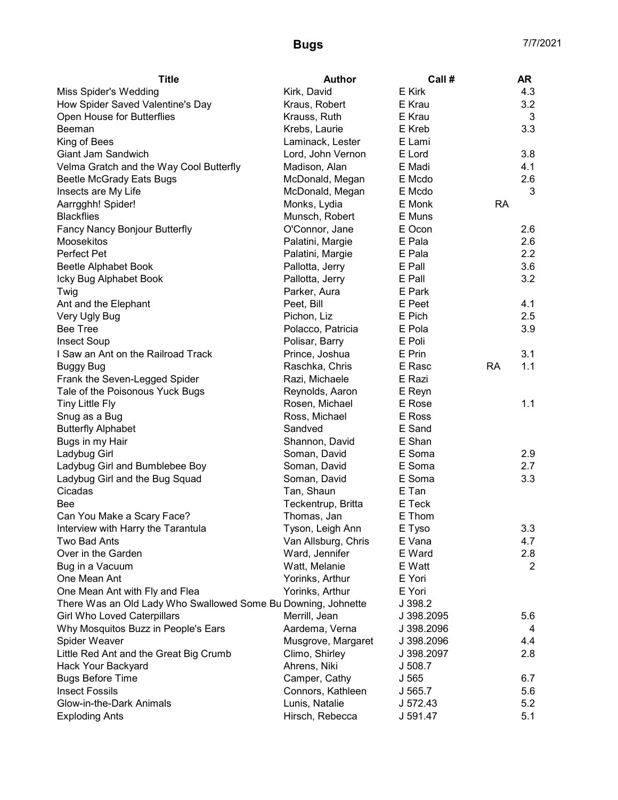| <b>Title</b>                                                  | <b>Author</b>       | Call #           |           | <b>AR</b>      |
|---------------------------------------------------------------|---------------------|------------------|-----------|----------------|
| <b>Miss Spider's Wedding</b>                                  | Kirk, David         | E Kirk           |           | 4.3            |
| How Spider Saved Valentine's Day                              | Kraus, Robert       | E Krau           |           | 3.2            |
| Open House for Butterflies                                    | Krauss, Ruth        | E Krau           |           | 3              |
| Beeman                                                        | Krebs, Laurie       | E Kreb           |           | 3.3            |
| King of Bees                                                  | Laminack, Lester    | E Lami           |           |                |
| Giant Jam Sandwich                                            | Lord, John Vernon   | E Lord           |           | 3.8            |
| Velma Gratch and the Way Cool Butterfly                       | Madison, Alan       | E Madi           |           | 4.1            |
| Beetle McGrady Eats Bugs                                      | McDonald, Megan     | E Mcdo           |           | 2.6            |
| Insects are My Life                                           | McDonald, Megan     | E Mcdo           |           | 3              |
| Aarrgghh! Spider!                                             | Monks, Lydia        | E Monk           | <b>RA</b> |                |
| <b>Blackflies</b>                                             | Munsch, Robert      | E Muns           |           |                |
| Fancy Nancy Bonjour Butterfly                                 | O'Connor, Jane      | E Ocon           |           | 2.6            |
| Moosekitos                                                    | Palatini, Margie    | E Pala           |           | 2.6            |
| Perfect Pet                                                   | Palatini, Margie    | E Pala           |           | 2.2            |
| Beetle Alphabet Book                                          | Pallotta, Jerry     | E Pall           |           | 3.6            |
| Icky Bug Alphabet Book                                        | Pallotta, Jerry     | E Pall           |           | 3.2            |
| Twig                                                          | Parker, Aura        | E Park           |           |                |
| Ant and the Elephant                                          | Peet, Bill          | E Peet           |           | 4.1            |
| Very Ugly Bug                                                 | Pichon, Liz         | E Pich           |           | 2.5            |
| <b>Bee Tree</b>                                               | Polacco, Patricia   | E Pola           |           | 3.9            |
| <b>Insect Soup</b>                                            | Polisar, Barry      | E Poli           |           |                |
| I Saw an Ant on the Railroad Track                            | Prince, Joshua      | E Prin           |           | 3.1            |
| Buggy Bug                                                     | Raschka, Chris      | E Rasc           | <b>RA</b> | 1.1            |
| Frank the Seven-Legged Spider                                 | Razi, Michaele      | E Razi           |           |                |
| Tale of the Poisonous Yuck Bugs                               | Reynolds, Aaron     | E Reyn           |           |                |
| <b>Tiny Little Fly</b>                                        | Rosen, Michael      | E Rose           |           | 1.1            |
| Snug as a Bug                                                 | Ross, Michael       | E Ross           |           |                |
| <b>Butterfly Alphabet</b>                                     | Sandved             | E Sand           |           |                |
| Bugs in my Hair                                               | Shannon, David      | E Shan           |           |                |
| Ladybug Girl                                                  | Soman, David        | E Soma           |           | 2.9            |
| Ladybug Girl and Bumblebee Boy                                | Soman, David        | E Soma           |           | 2.7            |
| Ladybug Girl and the Bug Squad                                | Soman, David        | E Soma           |           | 3.3            |
| Cicadas                                                       | Tan, Shaun          | E Tan            |           |                |
| Bee                                                           | Teckentrup, Britta  | E Teck           |           |                |
| Can You Make a Scary Face?                                    | Thomas, Jan         | E Thom           |           |                |
| Interview with Harry the Tarantula                            | Tyson, Leigh Ann    | E Tyso           |           | 3.3            |
| Two Bad Ants                                                  | Van Allsburg, Chris | E Vana           |           | 4.7            |
| Over in the Garden                                            | Ward, Jennifer      | E Ward           |           | 2.8            |
| Bug in a Vacuum                                               | Watt, Melanie       | E Watt           |           | $\overline{2}$ |
| One Mean Ant                                                  | Yorinks, Arthur     | E Yori           |           |                |
| One Mean Ant with Fly and Flea                                | Yorinks, Arthur     | E Yori           |           |                |
| There Was an Old Lady Who Swallowed Some Bu Downing, Johnette |                     | J 398.2          |           |                |
| <b>Girl Who Loved Caterpillars</b>                            | Merrill, Jean       | J 398.2095       |           | 5.6            |
| Why Mosquitos Buzz in People's Ears                           | Aardema, Verna      | J 398.2096       |           | 4              |
| Spider Weaver                                                 | Musgrove, Margaret  | J 398.2096       |           | 4.4            |
| Little Red Ant and the Great Big Crumb                        | Climo, Shirley      | J 398.2097       |           | 2.8            |
| Hack Your Backyard                                            | Ahrens, Niki        | J 508.7          |           |                |
| <b>Bugs Before Time</b>                                       | Camper, Cathy       | J <sub>565</sub> |           | 6.7            |
| <b>Insect Fossils</b>                                         | Connors, Kathleen   | J 565.7          |           | 5.6            |
| Glow-in-the-Dark Animals                                      | Lunis, Natalie      | J 572.43         |           | 5.2            |
| <b>Exploding Ants</b>                                         | Hirsch, Rebecca     | J 591.47         |           | 5.1            |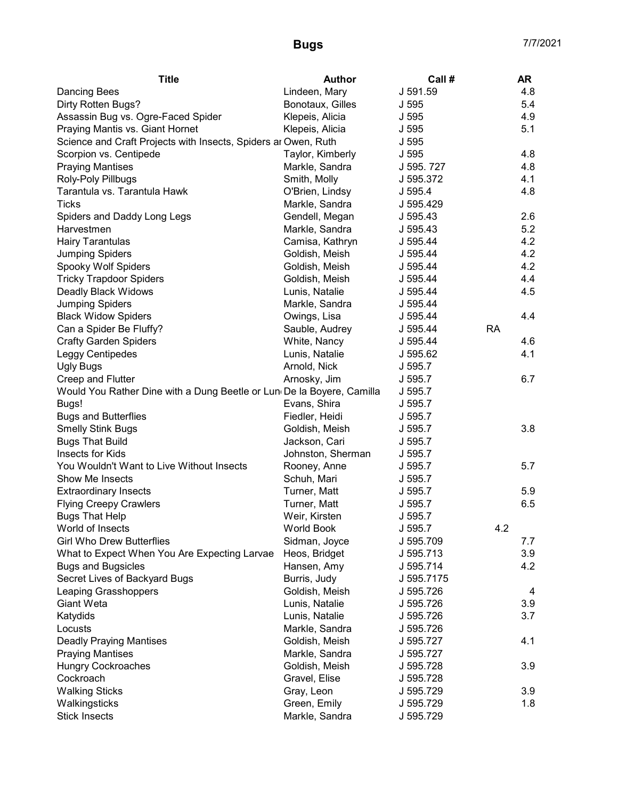| <b>Title</b>                                                          | Author            | Call #     |           | <b>AR</b> |
|-----------------------------------------------------------------------|-------------------|------------|-----------|-----------|
| <b>Dancing Bees</b>                                                   | Lindeen, Mary     | J 591.59   |           | 4.8       |
| Dirty Rotten Bugs?                                                    | Bonotaux, Gilles  | J 595      |           | 5.4       |
| Assassin Bug vs. Ogre-Faced Spider                                    | Klepeis, Alicia   | J 595      |           | 4.9       |
| Praying Mantis vs. Giant Hornet                                       | Klepeis, Alicia   | J 595      |           | 5.1       |
| Science and Craft Projects with Insects, Spiders ar Owen, Ruth        |                   | J 595      |           |           |
| Scorpion vs. Centipede                                                | Taylor, Kimberly  | J 595      |           | 4.8       |
| <b>Praying Mantises</b>                                               | Markle, Sandra    | J 595.727  |           | 4.8       |
| Roly-Poly Pillbugs                                                    | Smith, Molly      | J 595.372  |           | 4.1       |
| Tarantula vs. Tarantula Hawk                                          | O'Brien, Lindsy   | J 595.4    |           | 4.8       |
| <b>Ticks</b>                                                          | Markle, Sandra    | J 595.429  |           |           |
| Spiders and Daddy Long Legs                                           | Gendell, Megan    | J 595.43   |           | 2.6       |
| Harvestmen                                                            | Markle, Sandra    | J 595.43   |           | 5.2       |
| <b>Hairy Tarantulas</b>                                               | Camisa, Kathryn   | J 595.44   |           | 4.2       |
| <b>Jumping Spiders</b>                                                | Goldish, Meish    | J 595.44   |           | 4.2       |
| Spooky Wolf Spiders                                                   | Goldish, Meish    | J 595.44   |           | 4.2       |
| <b>Tricky Trapdoor Spiders</b>                                        | Goldish, Meish    | J 595.44   |           | 4.4       |
| Deadly Black Widows                                                   | Lunis, Natalie    | J 595.44   |           | 4.5       |
| <b>Jumping Spiders</b>                                                | Markle, Sandra    | J 595.44   |           |           |
| <b>Black Widow Spiders</b>                                            | Owings, Lisa      | J 595.44   |           | 4.4       |
| Can a Spider Be Fluffy?                                               | Sauble, Audrey    | J 595.44   | <b>RA</b> |           |
| <b>Crafty Garden Spiders</b>                                          | White, Nancy      | J 595.44   |           | 4.6       |
| Leggy Centipedes                                                      | Lunis, Natalie    | J 595.62   |           | 4.1       |
| <b>Ugly Bugs</b>                                                      | Arnold, Nick      | J 595.7    |           |           |
| Creep and Flutter                                                     | Arnosky, Jim      | J 595.7    |           | 6.7       |
| Would You Rather Dine with a Dung Beetle or Lun De la Boyere, Camilla |                   | J 595.7    |           |           |
| Bugs!                                                                 | Evans, Shira      | J 595.7    |           |           |
| <b>Bugs and Butterflies</b>                                           | Fiedler, Heidi    | J 595.7    |           |           |
| <b>Smelly Stink Bugs</b>                                              | Goldish, Meish    | J 595.7    |           | 3.8       |
| <b>Bugs That Build</b>                                                | Jackson, Cari     | J 595.7    |           |           |
| Insects for Kids                                                      | Johnston, Sherman | J 595.7    |           |           |
| You Wouldn't Want to Live Without Insects                             | Rooney, Anne      | J 595.7    |           | 5.7       |
| Show Me Insects                                                       | Schuh, Mari       | J 595.7    |           |           |
| <b>Extraordinary Insects</b>                                          | Turner, Matt      | J 595.7    |           | 5.9       |
| <b>Flying Creepy Crawlers</b>                                         | Turner, Matt      | J 595.7    |           | 6.5       |
| <b>Bugs That Help</b>                                                 | Weir, Kirsten     | J 595.7    |           |           |
| World of Insects                                                      | <b>World Book</b> | J 595.7    | 4.2       |           |
| <b>Girl Who Drew Butterflies</b>                                      |                   | J 595.709  |           | 7.7       |
|                                                                       | Sidman, Joyce     |            |           |           |
| What to Expect When You Are Expecting Larvae                          | Heos, Bridget     | J 595.713  |           | 3.9       |
| <b>Bugs and Bugsicles</b>                                             | Hansen, Amy       | J 595.714  |           | 4.2       |
| Secret Lives of Backyard Bugs                                         | Burris, Judy      | J 595.7175 |           |           |
| Leaping Grasshoppers                                                  | Goldish, Meish    | J 595.726  |           | 4         |
| Giant Weta                                                            | Lunis, Natalie    | J 595.726  |           | 3.9       |
| Katydids                                                              | Lunis, Natalie    | J 595.726  |           | 3.7       |
| Locusts                                                               | Markle, Sandra    | J 595.726  |           |           |
| <b>Deadly Praying Mantises</b>                                        | Goldish, Meish    | J 595.727  |           | 4.1       |
| <b>Praying Mantises</b>                                               | Markle, Sandra    | J 595.727  |           |           |
| <b>Hungry Cockroaches</b>                                             | Goldish, Meish    | J 595.728  |           | 3.9       |
| Cockroach                                                             | Gravel, Elise     | J 595.728  |           |           |
| <b>Walking Sticks</b>                                                 | Gray, Leon        | J 595.729  |           | 3.9       |
| Walkingsticks                                                         | Green, Emily      | J 595.729  |           | 1.8       |
| <b>Stick Insects</b>                                                  | Markle, Sandra    | J 595.729  |           |           |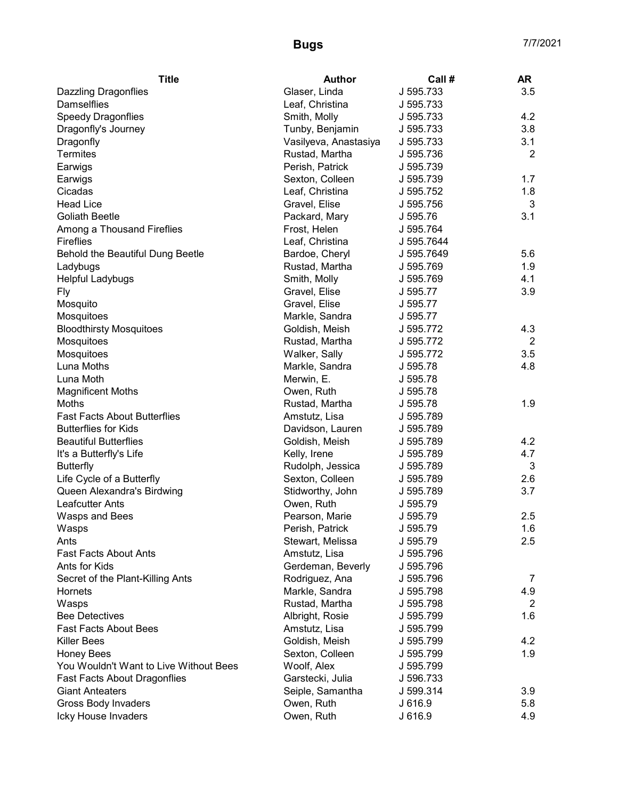| <b>Title</b>                           | <b>Author</b>                   | Call #     | <b>AR</b>      |
|----------------------------------------|---------------------------------|------------|----------------|
| <b>Dazzling Dragonflies</b>            | Glaser, Linda                   | J 595.733  | 3.5            |
| <b>Damselflies</b>                     | Leaf, Christina                 | J 595.733  |                |
| <b>Speedy Dragonflies</b>              | Smith, Molly                    | J 595.733  | 4.2            |
| Dragonfly's Journey                    | Tunby, Benjamin                 | J 595.733  | 3.8            |
| Dragonfly                              | Vasilyeva, Anastasiya           | J 595.733  | 3.1            |
| <b>Termites</b>                        | Rustad, Martha                  | J 595.736  | 2              |
| Earwigs                                | Perish, Patrick                 | J 595.739  |                |
| Earwigs                                | Sexton, Colleen                 | J 595.739  | 1.7            |
| Cicadas                                | Leaf, Christina                 | J 595.752  | 1.8            |
| <b>Head Lice</b>                       | Gravel, Elise                   | J 595.756  | 3              |
| <b>Goliath Beetle</b>                  | Packard, Mary                   | J 595.76   | 3.1            |
| Among a Thousand Fireflies             | Frost, Helen                    | J 595.764  |                |
| <b>Fireflies</b>                       | Leaf, Christina                 | J 595.7644 |                |
| Behold the Beautiful Dung Beetle       | Bardoe, Cheryl                  | J 595.7649 | 5.6            |
| Ladybugs                               | Rustad, Martha                  | J 595.769  | 1.9            |
| <b>Helpful Ladybugs</b>                | Smith, Molly                    | J 595.769  | 4.1            |
| Fly                                    | Gravel, Elise                   | J 595.77   | 3.9            |
| Mosquito                               | Gravel, Elise                   | J 595.77   |                |
| Mosquitoes                             | Markle, Sandra                  | J 595.77   |                |
| <b>Bloodthirsty Mosquitoes</b>         | Goldish, Meish                  | J 595.772  | 4.3            |
| Mosquitoes                             | Rustad, Martha                  | J 595.772  | $\overline{2}$ |
| Mosquitoes                             | Walker, Sally                   | J 595.772  | 3.5            |
| Luna Moths                             | Markle, Sandra                  | J 595.78   | 4.8            |
| Luna Moth                              | Merwin, E.                      | J 595.78   |                |
| <b>Magnificent Moths</b>               | Owen, Ruth                      | J 595.78   |                |
| Moths                                  | Rustad, Martha                  | J 595.78   | 1.9            |
| <b>Fast Facts About Butterflies</b>    | Amstutz, Lisa                   | J 595.789  |                |
| <b>Butterflies for Kids</b>            | Davidson, Lauren                | J 595.789  |                |
| <b>Beautiful Butterflies</b>           | Goldish, Meish                  | J 595.789  | 4.2            |
| It's a Butterfly's Life                | Kelly, Irene                    | J 595.789  | 4.7            |
| <b>Butterfly</b>                       | Rudolph, Jessica                | J 595.789  | 3              |
| Life Cycle of a Butterfly              | Sexton, Colleen                 | J 595.789  | 2.6            |
| Queen Alexandra's Birdwing             | Stidworthy, John                | J 595.789  | 3.7            |
| <b>Leafcutter Ants</b>                 | Owen, Ruth                      | J 595.79   |                |
| Wasps and Bees                         | Pearson, Marie                  | J 595.79   | 2.5            |
| Wasps                                  | Perish, Patrick                 | J 595.79   | 1.6            |
| Ants                                   | Stewart, Melissa                | J 595.79   | 2.5            |
| <b>Fast Facts About Ants</b>           | Amstutz, Lisa                   | J 595.796  |                |
| Ants for Kids                          | Gerdeman, Beverly               | J 595.796  |                |
| Secret of the Plant-Killing Ants       | Rodriguez, Ana                  | J 595.796  | 7              |
| <b>Hornets</b>                         | Markle, Sandra                  | J 595.798  | 4.9            |
| Wasps                                  | Rustad, Martha                  | J 595.798  | 2              |
| <b>Bee Detectives</b>                  | Albright, Rosie                 | J 595.799  | 1.6            |
| <b>Fast Facts About Bees</b>           | Amstutz, Lisa                   | J 595.799  |                |
| Killer Bees                            | Goldish, Meish                  | J 595.799  | 4.2            |
|                                        | Sexton, Colleen                 | J 595.799  | 1.9            |
| <b>Honey Bees</b>                      |                                 |            |                |
| You Wouldn't Want to Live Without Bees | Woolf, Alex<br>Garstecki, Julia | J 595.799  |                |
| <b>Fast Facts About Dragonflies</b>    |                                 | J 596.733  |                |
| <b>Giant Anteaters</b>                 | Seiple, Samantha                | J 599.314  | 3.9<br>5.8     |
| <b>Gross Body Invaders</b>             | Owen, Ruth                      | J 616.9    | 4.9            |
| Icky House Invaders                    | Owen, Ruth                      | J 616.9    |                |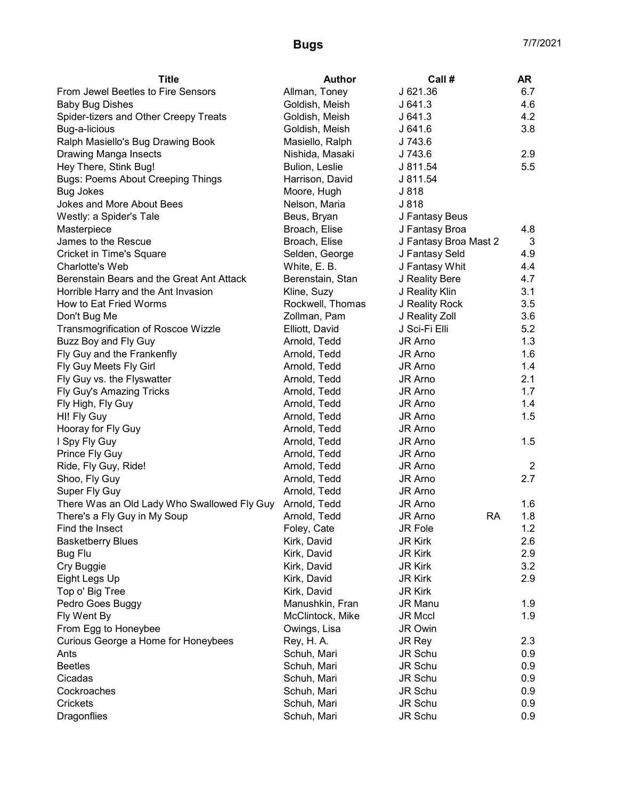| From Jewel Beetles to Fire Sensors<br>Allman, Toney<br>J 621.36<br>6.7<br>4.6<br><b>Baby Bug Dishes</b><br>Goldish, Meish<br>J641.3<br>4.2<br>Spider-tizers and Other Creepy Treats<br>Goldish, Meish<br>J641.3<br>J641.6<br>3.8<br>Bug-a-licious<br>Goldish, Meish<br>Ralph Masiello's Bug Drawing Book<br>J 743.6<br>Masiello, Ralph<br>Drawing Manga Insects<br>Nishida, Masaki<br>J 743.6<br>2.9<br>5.5<br>Hey There, Stink Bug!<br>Bulion, Leslie<br>J 811.54<br><b>Bugs: Poems About Creeping Things</b><br>Harrison, David<br>J 811.54<br>J 818<br><b>Bug Jokes</b><br>Moore, Hugh<br>Jokes and More About Bees<br>Nelson, Maria<br>J 818<br>Westly: a Spider's Tale<br>Beus, Bryan<br>J Fantasy Beus<br>Broach, Elise<br>J Fantasy Broa<br>Masterpiece<br>4.8<br>James to the Rescue<br>Broach, Elise<br>J Fantasy Broa Mast 2<br>3 |
|---------------------------------------------------------------------------------------------------------------------------------------------------------------------------------------------------------------------------------------------------------------------------------------------------------------------------------------------------------------------------------------------------------------------------------------------------------------------------------------------------------------------------------------------------------------------------------------------------------------------------------------------------------------------------------------------------------------------------------------------------------------------------------------------------------------------------------------------|
|                                                                                                                                                                                                                                                                                                                                                                                                                                                                                                                                                                                                                                                                                                                                                                                                                                             |
|                                                                                                                                                                                                                                                                                                                                                                                                                                                                                                                                                                                                                                                                                                                                                                                                                                             |
|                                                                                                                                                                                                                                                                                                                                                                                                                                                                                                                                                                                                                                                                                                                                                                                                                                             |
|                                                                                                                                                                                                                                                                                                                                                                                                                                                                                                                                                                                                                                                                                                                                                                                                                                             |
|                                                                                                                                                                                                                                                                                                                                                                                                                                                                                                                                                                                                                                                                                                                                                                                                                                             |
|                                                                                                                                                                                                                                                                                                                                                                                                                                                                                                                                                                                                                                                                                                                                                                                                                                             |
|                                                                                                                                                                                                                                                                                                                                                                                                                                                                                                                                                                                                                                                                                                                                                                                                                                             |
|                                                                                                                                                                                                                                                                                                                                                                                                                                                                                                                                                                                                                                                                                                                                                                                                                                             |
|                                                                                                                                                                                                                                                                                                                                                                                                                                                                                                                                                                                                                                                                                                                                                                                                                                             |
|                                                                                                                                                                                                                                                                                                                                                                                                                                                                                                                                                                                                                                                                                                                                                                                                                                             |
|                                                                                                                                                                                                                                                                                                                                                                                                                                                                                                                                                                                                                                                                                                                                                                                                                                             |
|                                                                                                                                                                                                                                                                                                                                                                                                                                                                                                                                                                                                                                                                                                                                                                                                                                             |
|                                                                                                                                                                                                                                                                                                                                                                                                                                                                                                                                                                                                                                                                                                                                                                                                                                             |
| <b>Cricket in Time's Square</b><br>J Fantasy Seld<br>4.9<br>Selden, George                                                                                                                                                                                                                                                                                                                                                                                                                                                                                                                                                                                                                                                                                                                                                                  |
| Charlotte's Web<br>J Fantasy Whit<br>4.4<br>White, E. B.                                                                                                                                                                                                                                                                                                                                                                                                                                                                                                                                                                                                                                                                                                                                                                                    |
| Berenstain Bears and the Great Ant Attack<br>4.7<br>Berenstain, Stan<br>J Reality Bere                                                                                                                                                                                                                                                                                                                                                                                                                                                                                                                                                                                                                                                                                                                                                      |
| Horrible Harry and the Ant Invasion<br>J Reality Klin<br>3.1<br>Kline, Suzy                                                                                                                                                                                                                                                                                                                                                                                                                                                                                                                                                                                                                                                                                                                                                                 |
| How to Eat Fried Worms<br>J Reality Rock<br>3.5<br>Rockwell, Thomas                                                                                                                                                                                                                                                                                                                                                                                                                                                                                                                                                                                                                                                                                                                                                                         |
| J Reality Zoll<br>3.6<br>Don't Bug Me<br>Zollman, Pam                                                                                                                                                                                                                                                                                                                                                                                                                                                                                                                                                                                                                                                                                                                                                                                       |
| 5.2<br>Transmogrification of Roscoe Wizzle<br>J Sci-Fi Elli<br>Elliott, David                                                                                                                                                                                                                                                                                                                                                                                                                                                                                                                                                                                                                                                                                                                                                               |
| Buzz Boy and Fly Guy<br>1.3<br>Arnold, Tedd<br>JR Arno                                                                                                                                                                                                                                                                                                                                                                                                                                                                                                                                                                                                                                                                                                                                                                                      |
| Fly Guy and the Frankenfly<br>1.6<br>Arnold, Tedd<br>JR Arno                                                                                                                                                                                                                                                                                                                                                                                                                                                                                                                                                                                                                                                                                                                                                                                |
| Fly Guy Meets Fly Girl<br>Arnold, Tedd<br>JR Arno<br>1.4                                                                                                                                                                                                                                                                                                                                                                                                                                                                                                                                                                                                                                                                                                                                                                                    |
| Fly Guy vs. the Flyswatter<br>JR Arno<br>2.1<br>Arnold, Tedd                                                                                                                                                                                                                                                                                                                                                                                                                                                                                                                                                                                                                                                                                                                                                                                |
| Fly Guy's Amazing Tricks<br>Arnold, Tedd<br>JR Arno<br>1.7                                                                                                                                                                                                                                                                                                                                                                                                                                                                                                                                                                                                                                                                                                                                                                                  |
| Arnold, Tedd<br>JR Arno<br>1.4<br>Fly High, Fly Guy                                                                                                                                                                                                                                                                                                                                                                                                                                                                                                                                                                                                                                                                                                                                                                                         |
| 1.5<br>HI! Fly Guy<br>Arnold, Tedd<br>JR Arno                                                                                                                                                                                                                                                                                                                                                                                                                                                                                                                                                                                                                                                                                                                                                                                               |
| Hooray for Fly Guy<br>JR Arno<br>Arnold, Tedd                                                                                                                                                                                                                                                                                                                                                                                                                                                                                                                                                                                                                                                                                                                                                                                               |
| JR Arno<br>1.5<br>I Spy Fly Guy<br>Arnold, Tedd                                                                                                                                                                                                                                                                                                                                                                                                                                                                                                                                                                                                                                                                                                                                                                                             |
| Prince Fly Guy<br>Arnold, Tedd<br>JR Arno                                                                                                                                                                                                                                                                                                                                                                                                                                                                                                                                                                                                                                                                                                                                                                                                   |
| Ride, Fly Guy, Ride!<br>Arnold, Tedd<br>$\overline{2}$<br>JR Arno                                                                                                                                                                                                                                                                                                                                                                                                                                                                                                                                                                                                                                                                                                                                                                           |
| Shoo, Fly Guy<br>Arnold, Tedd<br>2.7<br>JR Arno                                                                                                                                                                                                                                                                                                                                                                                                                                                                                                                                                                                                                                                                                                                                                                                             |
| JR Arno<br>Super Fly Guy<br>Arnold, Tedd                                                                                                                                                                                                                                                                                                                                                                                                                                                                                                                                                                                                                                                                                                                                                                                                    |
| There Was an Old Lady Who Swallowed Fly Guy<br>Arnold, Tedd<br>JR Arno<br>1.6                                                                                                                                                                                                                                                                                                                                                                                                                                                                                                                                                                                                                                                                                                                                                               |
| There's a Fly Guy in My Soup<br>Arnold, Tedd<br><b>RA</b><br>1.8<br>JR Arno                                                                                                                                                                                                                                                                                                                                                                                                                                                                                                                                                                                                                                                                                                                                                                 |
| JR Fole<br>1.2<br>Find the Insect<br>Foley, Cate                                                                                                                                                                                                                                                                                                                                                                                                                                                                                                                                                                                                                                                                                                                                                                                            |
| 2.6<br><b>Basketberry Blues</b><br>Kirk, David<br><b>JR Kirk</b>                                                                                                                                                                                                                                                                                                                                                                                                                                                                                                                                                                                                                                                                                                                                                                            |
| <b>JR Kirk</b><br>2.9<br><b>Bug Flu</b><br>Kirk, David                                                                                                                                                                                                                                                                                                                                                                                                                                                                                                                                                                                                                                                                                                                                                                                      |
| 3.2<br>Cry Buggie<br>Kirk, David<br><b>JR Kirk</b>                                                                                                                                                                                                                                                                                                                                                                                                                                                                                                                                                                                                                                                                                                                                                                                          |
| 2.9<br>Eight Legs Up<br>Kirk, David<br><b>JR Kirk</b>                                                                                                                                                                                                                                                                                                                                                                                                                                                                                                                                                                                                                                                                                                                                                                                       |
| Top o' Big Tree<br>Kirk, David<br><b>JR Kirk</b>                                                                                                                                                                                                                                                                                                                                                                                                                                                                                                                                                                                                                                                                                                                                                                                            |
| Pedro Goes Buggy<br>Manushkin, Fran<br>JR Manu<br>1.9                                                                                                                                                                                                                                                                                                                                                                                                                                                                                                                                                                                                                                                                                                                                                                                       |
| Fly Went By<br>1.9<br>McClintock, Mike<br><b>JR Mccl</b>                                                                                                                                                                                                                                                                                                                                                                                                                                                                                                                                                                                                                                                                                                                                                                                    |
| From Egg to Honeybee<br>Owings, Lisa<br><b>JR Owin</b>                                                                                                                                                                                                                                                                                                                                                                                                                                                                                                                                                                                                                                                                                                                                                                                      |
| Curious George a Home for Honeybees<br>2.3<br>Rey, H. A.<br>JR Rey                                                                                                                                                                                                                                                                                                                                                                                                                                                                                                                                                                                                                                                                                                                                                                          |
| Ants<br>JR Schu<br>0.9<br>Schuh, Mari                                                                                                                                                                                                                                                                                                                                                                                                                                                                                                                                                                                                                                                                                                                                                                                                       |
| <b>Beetles</b><br>JR Schu<br>Schuh, Mari<br>0.9                                                                                                                                                                                                                                                                                                                                                                                                                                                                                                                                                                                                                                                                                                                                                                                             |
| JR Schu<br>Cicadas<br>Schuh, Mari<br>0.9                                                                                                                                                                                                                                                                                                                                                                                                                                                                                                                                                                                                                                                                                                                                                                                                    |
| Cockroaches<br>Schuh, Mari<br>JR Schu<br>0.9                                                                                                                                                                                                                                                                                                                                                                                                                                                                                                                                                                                                                                                                                                                                                                                                |
| <b>Crickets</b><br>Schuh, Mari<br>JR Schu<br>0.9                                                                                                                                                                                                                                                                                                                                                                                                                                                                                                                                                                                                                                                                                                                                                                                            |
| Dragonflies<br>Schuh, Mari<br>JR Schu<br>0.9                                                                                                                                                                                                                                                                                                                                                                                                                                                                                                                                                                                                                                                                                                                                                                                                |